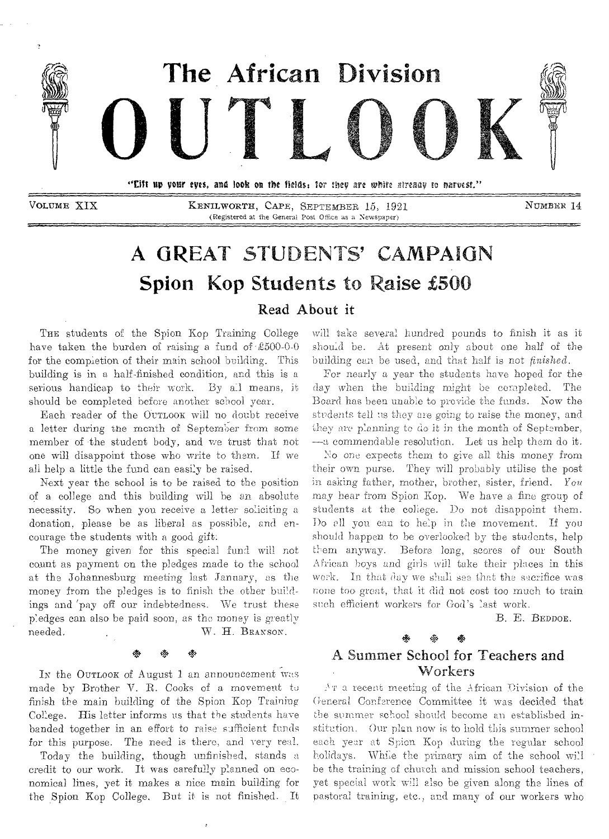

VOLUME XIX KENILWORTH, CAPE, SEPTEMBER 15, 1921 NUMBER 14 (Registered at the Genera! Post Office as a Newspaper)

## A GREAT STUDENTS' CAMPAIGN Spion Kop Students to Raise £500

Read About it

THE students of the Spion Kop Training College have taken the burden of raising a fund of  $\text{\pounds}500-0-0$ for the completion of their main school building. This building is in a half-finished condition, and this is a serious handicap to their work. By all means, it should be completed before another school year.

Each reader of the OUTLOOK will no doubt receive a letter during the month of September from some member of the student body, and we trust that not one will disappoint those who write to them. If we all help a little the fund can easily be raised.

Next year the school is to be raised to the position of a college and this building will be an absolute necessity. So when you receive a letter soliciting a donation, please be as liberal as possible, and encourage the students with a good gift:

The money given for this special fund will not count as payment on the pledges made to the school at the Johannesburg meeting last January, as the money from the pledges is to finish the other buildings and 'pay off our indebtedness. We trust these pledges can also be paid soon, as the money is greatly needed.  $W. H. B$ RANSON.

# .<br>\* \* \*

In the OUTLOOK of August 1 an announcement was made by Brother V. R. Cooks of a movement to finish the main building of the Spion Kop Training College. His letter informs us that the students have banded together in an effort to raise sufficient funds for this purpose. The need is there, and very real.

Today the building, though unfinished, stands a credit to our work. It was carefully planned on economical lines, yet it makes a nice main building for the Spion Kop College. But it is not finished. It

will take several hundred pounds to finish it as it should be. At present only about one half of the building can be used, and that half is not *finished.* 

For nearly a year the students have hoped for the day when the building might be completed. The Board has been unable to provide the funds. Now the students tell us they are going to raise the money, and they are planning to do it in the month of September, —a commendable resolution. Let us help them do it.

No one expects them to give all this money from their own purse. They will probably utilise the post in asking father, mother, brother, sister, friend. You may hear from Spion Kop. We have a fine group of students at the college. Do not disappoint them. Do all you can to help in the movement. If you should happen to be overlooked by the students, help them anyway. Before long, scores of our South African boys and girls will take their places in this work. In that day we shall see that the sacrifice was none too great, that it did not cost too much to train such efficient workers for God's last work.

B. E. BEDDOE.

### + • 4, A Summer School for Teachers and Workers

Ar a recent meeting of the African Division of the General Conference Committee it was decided that she summer school should become au established institution. Our plan now is to hold this summer school each year at Spion Kop during the regular school holidays. While the primary aim of the school will be the training of church and mission school teachers, yet special work will also be given along the lines of pastoral training, etc., and many of our workers who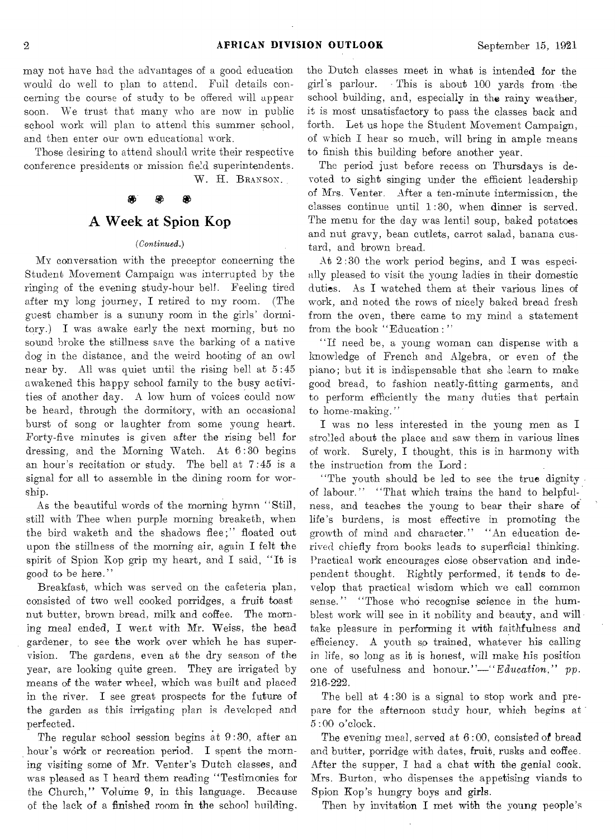may not have had the advantages of a good education would do well to plan to attend. Full details concerning the course of study to be offered will appear soon. We trust that many who are now in public school work will plan to attend this summer school, and then enter our own educational work.

Those desiring to attend should write their respective conference presidents or mission field superintendents.

W. H. BRANSON.

### æ

### A Week at Spion Kop

### *(Continued.)*

MY conversation with the preceptor concerning the Student Movement Campaign was interrupted by the ringing of the evening study-hour hell. Feeling tired after my long journey, I retired to my room. (The guest chamber is a sununy room in the girls' dormitory.) I was awake early the next morning, but no sound broke the stillness save the barking of a native dog in the distance, and the weird hooting of an owl near by. All was quiet until the rising bell at 5 :45 awakened this happy school family to the busy activities of another day. A low hum of voices could now be heard, through the dormitory, with an occasional burst of song or laughter from some young heart. Forty-five minutes is given after the rising bell for dressing, and the Morning Watch. At 6:30 begins an hour's recitation or study. The bell at 7:45 is a signal for all to assemble in the dining room for worship.

As the beautiful words of the morning hymn "Still, still with Thee when purple morning breaketh, when the bird waketh and the shadows flee;" floated out upon the stillness of the morning air, again I felt the spirit of Spion Kop grip my heart, and I said, "It is good to be here."

Breakfast, which was served on the cafeteria plan, consisted of two well cooked porridges, a fruit toast nut butter, brown bread, milk and coffee. The morning meal ended, I went with Mr. Weiss, the head gardener, to see the work over which he has supervision. The gardens, even at the dry season of the year, are looking quite green. They are irrigated by means of the water wheel, which was built and placed in the river. I see great prospects for the future of the garden as this irrigating plan is developed and perfected.

The regular school session begins at 9 :30, after an hour's work or recreation period. I spent the morning visiting some of Mr. Venter's Dutch classes, and was pleased as I heard them reading "Testimonies for the Church," Volume 9, in this language. Because of the lack of a finished room in the school building,

the Dutch classes meet in what is intended for the girl's parlour. - This is about 100 yards from the school building, and, especially in the rainy weather, it is most unsatisfactory to pass the classes back and forth. Let us hope the Student Movement Campaign, of which I hear so much, will bring in ample means to finish this building before another year.

The period just before recess on Thursdays is devoted to sight singing under the efficient leadership of Mrs. Venter. After a ten-minute intermission, the classes continue until 1 :30, when dinner is served. The menu for the day was lentil soup, baked potatoes and nut gravy, bean cutlets, carrot salad, banana custard, and brown bread.

At 2 :30 the work period begins, and I was especially pleased to visit the young ladies in their domestic duties. As I watched them at their various lines of work, and noted the rows of nicely baked bread fresh from the oven, there came to my mind a statement from the book "Education:"

"If need be, a young woman can dispense with a knowledge of French and Algebra, or even of the piano; but it is indispensable that she learn to make good bread, to fashion neatly-fitting garments, and to perform efficiently the many duties that pertain to home-making."

I was no less interested in the young men as I strolled about the place and saw them in various lines of work. Surely, I thought, this is in harmony with the instruction from the Lord:

"The youth should be led to see the true dignity. of labour." "That which trains the hand to helpfulness, and teaches the young to bear their share of life's burdens, is most effective in promoting the growth of mind and character." "An education derived chiefly from books leads to superficial thinking. Practical work encourages close observation and independent thought. Rightly performed, it tends to develop that practical wisdom which we call common sense." "Those who recognise science in the humblest work will see in it nobility and beauty, and will. take pleasure in performing it with faithfulness and efficiency. A youth so trained, whatever his calling in life, so long as it is honest, will make his position one of usefulness and honour."—"Education," pp. 216-222.

The bell at 4:30 is a signal to stop work and prepare for the afternoon study hour, which begins at 5:00 o'clock.

The evening meal, served at 6 :00, consisted of bread and butter, porridge with dates, fruit, rusks and coffee. After the supper, I had a chat with the genial cook. Mrs. Burton, who dispenses the appetising viands to Spion Kop's hungry boys and girls.

Then by invitation I met with the young people's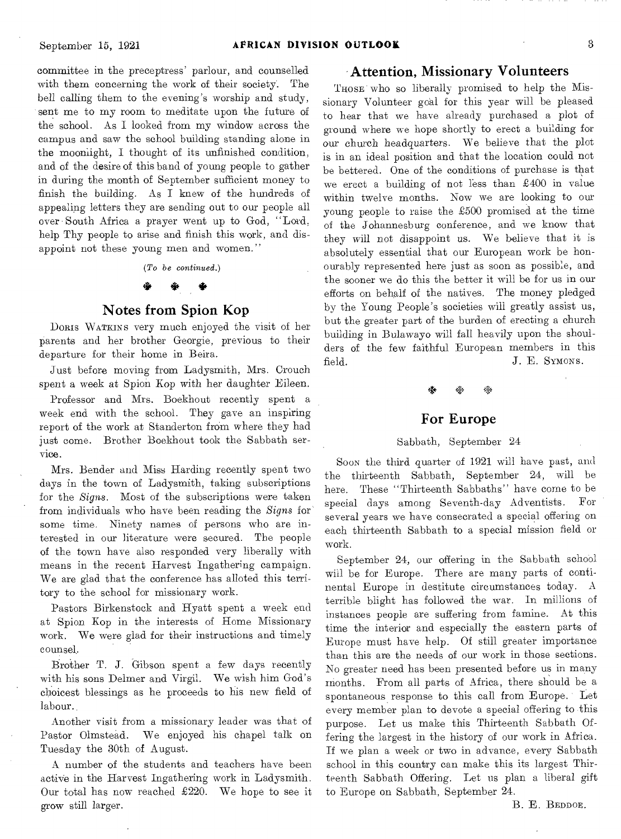committee in the preceptress' parlour, and counselled with them concerning the work of their society. The bell calling them to the evening's worship and study, sent me to my room to meditate upon the future of the school. As I looked from my window across the campus and saw the school building standing alone in the moonlight, I thought of its unfinished condition, and of the desire of this band of young people to gather in during the month of September sufficient money to finish the building. As I knew of the hundreds of appealing letters they are sending out to our people all over South Africa a prayer went up to God, "Lord, help Thy people to arise and finish this work, and disappoint not these young men and women."

*(To be continued.)* 

### *4\* 4,4\**

### Notes from Spion Kop

Doms WATKINs very much enjoyed the visit of her parents and her brother Georgie, previous to their departure for their home in Beira.

Just before moving from Ladysmith, Mrs. Crouch spent a week at Spion Kop with her daughter Eileen.

Professor and Mrs. Boekhout recently spent a week end with the school. They gave an inspiring report of the work at Standerton from where they had just come. Brother Boekhout took the Sabbath service.

Mrs. Bender and Miss Harding recently spent two days in the town of Ladysmith, taking subscriptions for the *Signs.* Most of the subscriptions were taken from individuals who have been reading the *Signs* for some time. Ninety names of persons who are interested in our literature were secured. The people of the town have also responded very liberally with means in the recent Harvest Ingathering campaign. We are glad that the conference has alloted this territory to the school for missionary work.

Pastors Birkenstock and Hyatt spent a week end at Spion Kop in the interests of Home Missionary work. We were glad for their instructions and timely counsel.

Brother T. J. Gibson spent a few days recently with his sons Delmer and Virgil. We wish him God's choicest blessings as he proceeds to his new field of labour.

Another visit from a missionary leader was that of Pastor Olmstead. We enjoyed his chapel talk on Tuesday the 30th of August.

A number of the students and teachers have been active in the Harvest Ingathering work in Ladysmith. Our total has now reached  $\pounds 220$ . We hope to see it grow still larger.

### Attention, Missionary Volunteers

THOSE who so liberally promised to help the Missionary Volunteer goal for this year will be pleased to hear that we have already purchased a plot of ground where we hope shortly to erect a building for our church headquarters. We believe that the plot is in an ideal position and that the location could not be bettered. One of the conditions of purchase is that we erect a building of not less than £400 in value within twelve months. Now we are looking to our young people to raise the £500 promised at the time of the Johannesburg conference, and we know that they will not disappoint us. We believe that it is absolutely essential that our European work be honourably represented here just as soon as possible, and the sooner we do this the better it will be for us in our efforts on behalf of the natives. The money pledged by the Young People's societies will greatly assist us, but the greater part of the burden of erecting a church building in Bulawayo will fall heavily upon the shoulders of the few faithful European members in this field. J. E. SYMONS.

# •<br>※ ※ ※

### For Europe

### Sabbath, September 24

Soon the third quarter of 1921 will have past, and the thirteenth Sabbath, September 24, will be here. These "Thirteenth Sabbaths" have come to be special days among Seventh-day Adventists. For several years we have consecrated a special offering on each thirteenth Sabbath to a special mission field or work.

September 24, our offering in the Sabbath school will be for Europe. There are many parts of continental Europe in destitute circumstances today. A terrible blight has followed the war. In millions of instances people are suffering from famine. At this time the interior and especially the eastern parts of Europe must have help. Of still greater importance than this are the needs of our work in those sections. No greater need has been presented before us in many months. From all parts of Africa, there should be a spontaneous response to this call from Europe. Let every member plan to devote a special offering to this purpose. Let us make this Thirteenth Sabbath Offering the largest in the history of our work in Africa. If we plan a week or two in advance, every Sabbath school in this country can make this its largest Thirteenth Sabbath Offering. Let us plan a liberal gift to Europe on Sabbath, September 24.

B. E. BEDDOE.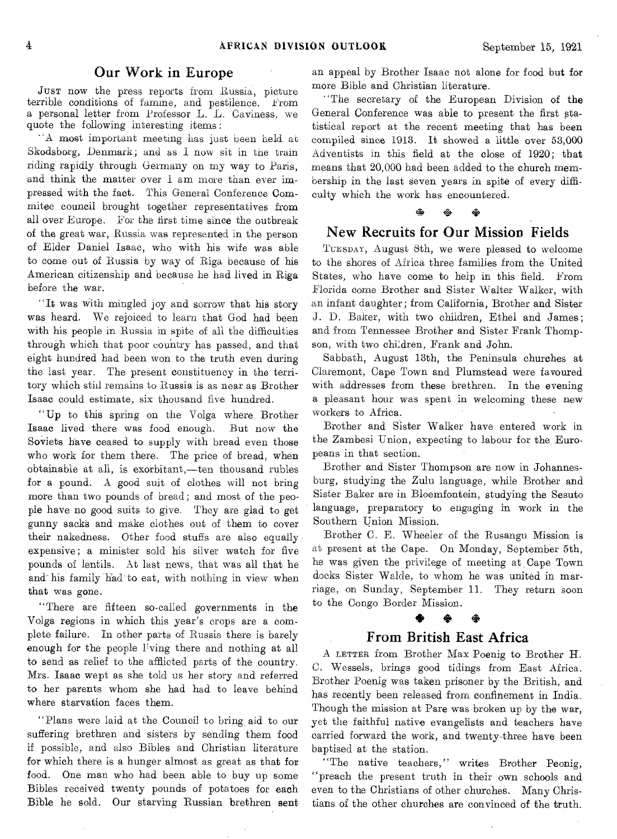### Our Work in Europe

JUST now the press reports from Russia, picture terrible conditions of famine, and pestilence. From a personal letter from Professor L. L. Caviness, we quote the following interesting items :

"A most important meeting has just been held at Skodsborg, Denmark; and as I now sit in the train riding rapidly through Germany on my way to Paris, and think the matter over I am more than ever impressed with the fact. This General Conference Commitee council brought together representatives from all over Europe. For the first time since the outbreak of the great war, Russia was represented in the person of Elder Daniel Isaac, who with his wife was able to come out of Russia by way of Riga because of his American citizenship and because he had lived in Riga before the war.

"It was with mingled joy and sorrow that his story was heard. We rejoiced to learn that God had been with his people in Russia in spite of all the difficulties through which that poor country has passed, and that eight hundred had been won to the truth even during the last year. The present constituency in the territory which still remains to Russia is as near as Brother Isaac could estimate, six thousand five hundred.

"Up to this spring on the Volga where Brother Isaac lived there was food enough. But now the Soviets have ceased to supply with bread even those who work for them there. The price of bread, when obtainable at all, is exorbitant,—ten thousand rubles for a pound. A good suit of clothes will not bring more than two pounds of bread; and most of the people have no good suits to give. They are glad to get gunny sacks and make clothes out of them to cover their nakedness. Other food stuffs are also equally expensive; a minister sold his silver watch for five pounds of lentils. At last news, that was all that he and-his family had- to eat, with nothing in view when that was gone.

"There are fifteen so-called governments in the Volga regions in which this year's crops are a complete failure. In other parts of Russia there is barely enough for the people living there and nothing at all to send as relief to the afflicted parts of the country. Mrs. Isaac wept as she told us her story and referred to her parents whom she had had to leave behind where starvation faces them.

"Plans were laid at the Council to bring\_ aid to our suffering brethren and sisters by sending them food if possible, and also Bibles and Christian literature for which there is a hunger almost as great as that for food. One man who had been able to buy up some Bibles received twenty pounds of potatoes for each Bible he sold. Our starving Russian brethren sent

an appeal by Brother Isaac not alone for food but for more Bible and Christian literature.

"The secretary of the European Division of the General Conference was able to present the first statistical report at the recent meeting that has been compiled since 1913. It showed a little over 53,000 Adventists in this field at the close of 1920; that means that 20,000 had been added to the church membership in the last seven years in spite of every difficulty which the work has encountered.

### New Recruits for Our Mission Fields

TUESDAY, August 8th, we were pleased to welcome to the shores of Africa three families from the United States, who have come to help in this field. From Florida come Brother and Sister Walter Walker, with an infant daughter; from California, Brother and Sister J. D. Baker, with two children, Ethel and James; and from Tennessee Brother and Sister Frank Thompson, with two children, Frank and John.

Sabbath, August 13th, the Peninsula churches at Claremont, Cape Town and Plumstead were favoured with addresses from these brethren. In the evening a pleasant hour was spent in welcoming these new workers to Africa.

Brother and Sister Walker have entered work in the Zambesi Union, expecting to labour for the Europeans in that section.

Brother and Sister Thompson are now in Johannesburg, studying the Zulu language, while Brother and Sister Baker are in Bloemfontein, studying the Sesuto language, preparatory to engaging in work in the Southern Union Mission.

Brother C. E. Wheeler of the Rusangu Mission is at present at the Cape. On Monday, September 5th, he was given the privilege of meeting at Cape Town docks Sister Walde, to whom he was united in marriage, on Sunday, September 11. They return soon to the Congo Border Mission.

### ※

### From British East Africa

A LETTER from Brother Max Poenig to Brother H. C. Wessels, brings good tidings from East Africa. Brother Poenig was taken prisoner by the British, and has recently been released from confinement in India. Though the mission at Pare was broken up by the war, yet the faithful native evangelists and teachers have carried forward the work, and twenty-three have been baptised at the station.

"The native teachers," writes Brother Peonig, "preach the present truth in their own schools and even to the Christians of other churches. Many Christians of the other churches are convinced of the truth.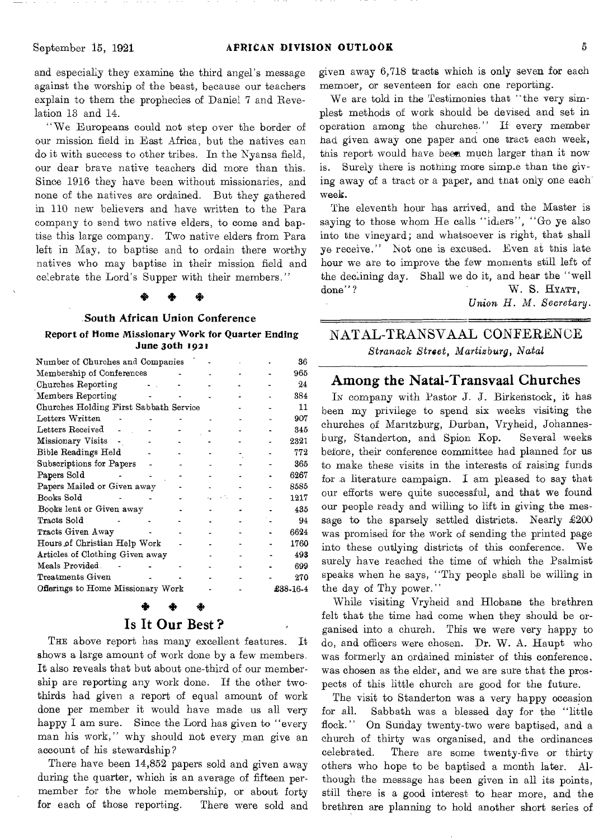and especially they examine the third angel's message against the worship of the beast, because our teachers explain to them the prophecies of Daniel 7 and Revelation 13 and 14.

"We Europeans could not step over the border of our mission field in East Africa, but the natives can do it with success to other tribes. In the Nyansa field, our dear brave native teachers did more than this. Since 1916 they have been without missionaries, and none of the natives are ordained. But they gathered in 110 new believers and have written to the Para company to send two native elders, to come and baptise this large company. Two native elders from Para left in May, to baptise and to ordain there worthy natives who may baptise in their mission field and celebrate the Lord's Supper with their members."

### +

### South African Union Conference

### Report of Home Missionary Work for Quarter Ending June 3oth 1921

|                                              |  |  | 36       |  |  |  |  |
|----------------------------------------------|--|--|----------|--|--|--|--|
|                                              |  |  | 965      |  |  |  |  |
|                                              |  |  | 24       |  |  |  |  |
|                                              |  |  | 384      |  |  |  |  |
| Churches Holding First Sabbath Service<br>11 |  |  |          |  |  |  |  |
|                                              |  |  | 907      |  |  |  |  |
|                                              |  |  | 345      |  |  |  |  |
|                                              |  |  | 2321     |  |  |  |  |
|                                              |  |  | 772      |  |  |  |  |
|                                              |  |  | 365      |  |  |  |  |
|                                              |  |  | 6267     |  |  |  |  |
|                                              |  |  | 8585     |  |  |  |  |
|                                              |  |  | 1217     |  |  |  |  |
|                                              |  |  | 435      |  |  |  |  |
|                                              |  |  | 94       |  |  |  |  |
|                                              |  |  | 6624     |  |  |  |  |
|                                              |  |  | 1760     |  |  |  |  |
|                                              |  |  | 493      |  |  |  |  |
|                                              |  |  | 699      |  |  |  |  |
|                                              |  |  | 270      |  |  |  |  |
|                                              |  |  | £38-16-4 |  |  |  |  |
|                                              |  |  |          |  |  |  |  |

### Is It Our Best ?

THE above report has many excellent features. It shows a large amount of work done by a few members. It also reveals that but about one-third of our membership are reporting any work done. If the other twothirds had given a report of equal amount of work done per member it would have made us all very happy I am sure. Since the Lord has given to "every man his work," why should not every man give an account of his stewardship?

There have been 14,852 papers sold and given away during the quarter, which is an average of fifteen permember for the whole membership, or about forty for each of those reporting. There were sold and given away 6,718 tracts which is only seven for each member, or seventeen for each one reporting.

We are told in the Testimonies that "the very simplest methods of work should be devised and set in operation among the churches." If every member had given away one paper and one tract each week, this report would have been much larger than it now is. Surely there is nothing more simple than the giving away of a tract or a paper, and that only one each week.

The eleventh hour has arrived, and the Master is saying to those whom He calls "idlers", "Go ye also into the vineyard; and whatsoever is right, that shall ye receive." Not one is excused. Even at this late hour we are to improve the few moments still left of the declining day. Shall we do it, and hear the "well done"? W. S. HYATT,

*Union H. M. Secretary.* 

### NATAL-TRANSVAAL CONFERENCE *Stranack Street, Martizburg, Natal*

### Among the Natal-Transvaal Churches

Iv company with Pastor J. J. Birkenstock, it has been my privilege to spend six weeks visiting the churches of Maritzburg, Durban, Vryheid, Johannesburg, Standerton, and Spion Kop. Several weeks before, their conference committee had planned for us to make these visits in the interests of raising funds for a literature campaign. I am pleased to say that our efforts were quite successful, and that we found our people ready and willing to lift in giving the message to the sparsely settled districts. Nearly  $\pounds 200$ was promised for the work of sending the printed page into these outlying districts of this conference. We surely have reached the time of which the Psalmist speaks when he says, "Thy people shall be willing in the day of Thy power."

While visiting Vryheid and Hlobane the brethren felt that the time had come when they should be organised into a church. This we were very happy to do, and officers were chosen. Dr. W. A. Haupt who was formerly an ordained minister of this conference, was chosen as the elder, and we are sure that the prospects of this little church are good for the future.

The visit to Standerton was a very happy occasion for all. Sabbath was a blessed day for the "little flock." On Sunday twenty-two were baptised, and a church of thirty was organised, and the ordinances celebrated. There are some twenty-five or thirty others who hope to be baptised a month later. Although the message has been given in all its points, still there is a good interest to hear more, and the brethren are planning to hold another short series of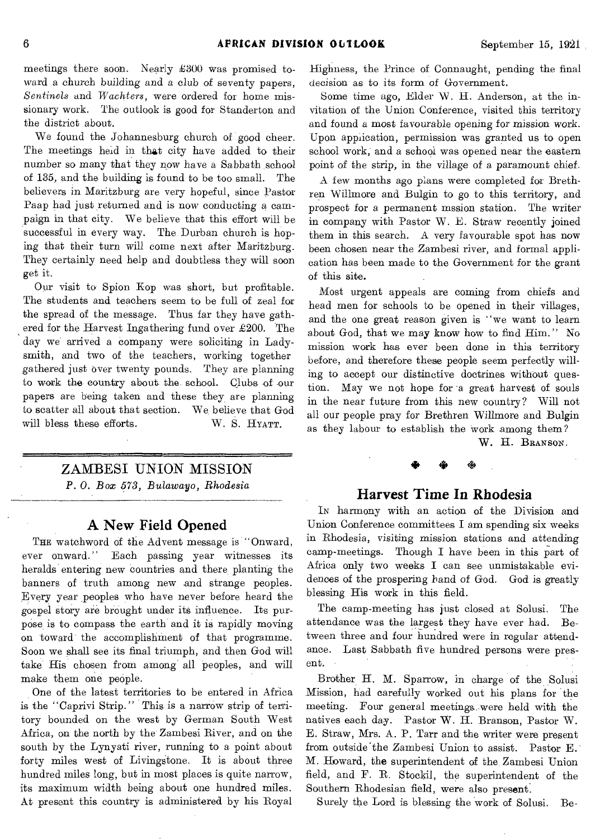meetings there soon. Nearly £300 was promised toward a church building and a club of seventy papers, *Sentinels* and *Wachters,* were ordered for home missionary work. The outlook is good for Standerton and the district about.

We found the Johannesburg church of good cheer. The meetings held in that city have added to their number so many that they now have *a* Sabbath school of 135, and the building is found to be too small. The believers in Maritzburg are very hopeful, since Pastor Paap had just returned and is now conducting *a* campaign in that city. We believe that this effort will be successful in every way. The Durban church is hoping that their turn will come next after Maritzburg. They certainly need help and doubtless they will soon get it.

Our visit to Spion Kop was short, but profitable. The students and teachers seem to be full of zeal for the spread of the message. Thus far they have gathered for the Harvest Ingathering fund over £200. The day we arrived a company were soliciting in Ladysmith, and two of the teachers, working together gathered just over twenty pounds. They are planning to work the country about the school. Clubs of our papers are being taken and these they are planning to scatter all about that section. We believe that God will bless these efforts. W. S. HYATT.

### ZAMBESI UNION MISSION

*P. 0. Box 573, Bulawayo, Rhodesia* 

### **A New Field Opened**

THE watchword of the Advent message is "Onward, ever onward." Each passing year witnesses its heralds entering new countries and there planting the banners of truth among new and strange peoples. Every year peoples who have never before heard the gospel story are brought under its influence. Its purpose is to compass the earth and it is rapidly moving on toward the accomplishment of that programme. Soon we shall see its final triumph, and then God will take His chosen from among all peoples, and will make them one people.

One of the latest territories to be entered in Africa is the "Caprivi Strip." This is a narrow strip of territory bounded on the west by German South West Africa, on the north by the Zambesi River, and on the south by the Lynyati river, running to a point about forty miles west of Livingstone. It is about three hundred miles long, but in most places is quite narrow, its maximum width being about one hundred miles. At present this country is administered by his Royal Highness, the Prince of Connaught, pending the final decision as to its form of Government.

Some time ago, Elder W. H. Anderson, at the invitation of the Union Conference, visited this territory and found a most favourable opening for mission work. Upon application, permission was granted us to open school work; and a school was opened near the eastern point of the strip, in the village of a paramount chief.

A few months ago plans were completed for Brethren Willmore and Bulgin to go to this territory, and prospect for a permanent mssion station. The writer in company with Pastor W. E. Straw recently joined them in this search. A very favourable spot has now been chosen near the Zambesi river, and formal application has been made to the Government for the grant of this site.

Most urgent appeals are coming from chiefs and head men for schools to be opened in their villages, and the one great reason given is "we want to learn about God, that we may know how to find Him." No mission work has ever been done in this territory before, and therefore these people seem perfectly willing to accept our distinctive doctrines without question. May we not hope for 'a great harvest of souls in the near future from this new country? Will not all our people pray for Brethren Willmore and Bulgin as they labour to establish the work among them?

W. H. BRANSON.

### **Harvest Time In Rhodesia**

 $\ddot{\phantom{1}}$ 

IN harmony with an action of the Division and Union Conference committees I am spending six weeks in Rhodesia, visiting mission stations and attending camp-meetings. Though I have been in this part of Africa only two weeks I can see unmistakable evidences of *the* prospering hand of God. God is greatly blessing His work in this field.

The camp-meeting has just closed at Solusi. The attendance was the largest they have ever had. Between three and four hundred were in regular attendance. Last Sabbath five hundred persons were present.

Brother H. M. Sparrow, in charge of the Solusi Mission, had carefully worked out his plans for the meeting. Four general meetings..were held with the natives each day. Pastor W. H. Branson, Pastor W. E. Straw, Mrs. A. P. Tarr and the writer were present from outside`the Zambesi Union to assist. Pastor E. M. Howard, the superintendent of the Zambesi Union field, and F. R. Stockil, the superintendent of the Southern Rhodesian field, were also present.

Surely the Lord is blessing the work of Solusi. Be-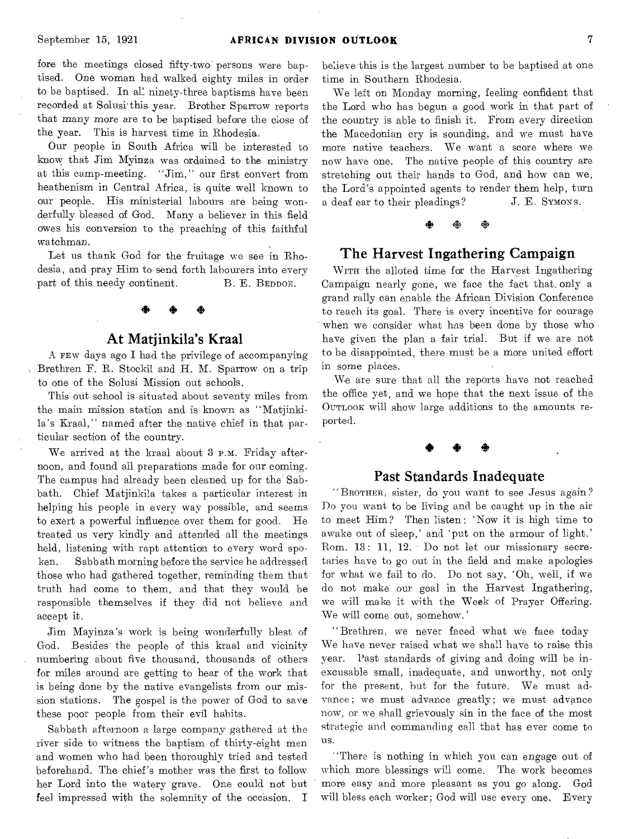fore the meetings closed fifty-two persons were baptised. One woman had walked eighty miles in order to be baptised. In all ninety-three baptisms have been recorded at Solusi' this year. Brother Sparrow reports that many more are to be baptised before the close of the year. This is harvest time in Rhodesia.

Our people in South Africa will be interested to know that Jim Myinza was ordained to the ministry at this camp-meeting. "Jim," our first convert from heathenism in Central Africa, is quite well known to our people. His ministerial labours are being wonderfully blessed of God. Many a believer in this field owes his conversion to the preaching of this faithful watchman.

Let us thank God for the fruitage we see in Rhodesia, and pray Him to send forth labourers into every part of this needy continent. B. E. BEDDOE,

### At Matjinkila's Kraal

A FEW days ago I had the privilege of accompanying Brethren F. R. Stockil and H. M. Sparrow on a trip to one of the Solusi Mission out schools.

This out school is situated about seventy miles from the main mission station and is known as "Matjinkila's Kraal," named after the native chief in that particular section of the country.

We arrived at the kraal about 3 P.M. Friday afternoon, and found all preparations made for our coming. The campus had already been cleaned up for the Sabbath. Chief Matjinkila takes a particular interest in helping his people in every way possible, and seems to exert a powerful influence over them for good. He treated us very kindly and attended all the meetings held, listening with rapt attention to every word spoken. Sabbath morning before the service he addressed those who had gathered together, reminding them that truth had come to them, and that they would be responsible themselves if they did not believe and accept it.

Jim Mayinza's work is being wonderfully blest. of God. Besides the people of this kraal and vicinity numbering about five thousand, thousands of others for miles around are getting to hear of the work that is being done by the native evangelists from our mission stations. The gospel is the power of God to save these poor people from their evil habits.

Sabbath afternoon a large company gathered at the river side to witness the baptism of thirty-eight men and women who had been thoroughly tried and tested beforehand. The chief's mother was the first to follow her Lord into the watery grave. One could not but feel impressed with the solemnity of the occasion. I

believe this is the largest number to be baptised at one time in Southern Rhodesia.

We left on Monday morning, feeling confident that the Lord who has begun a good work in that part of the country is able to finish it. From every direction the Macedonian cry is sounding, and we must have more native teachers. We want a score where we now have one, The native people of this country are stretching out their hands to God, and how can we, the Lord's appointed agents to render them help, turn a deaf ear to their pleadings? J. E. SYMONS.

### 4\* 4\* 囈

### The Harvest Ingathering Campaign

WITH the alloted time for the Harvest Ingathering Campaign nearly gone, we face the fact that, only a grand rally can enable the African Division Conference to reach its goal. There is every incentive for courage when we consider what has been done by those who have given the plan a fair trial. But if we are not to be disappointed, there must be a more united effort in some places.

We are sure that all the reports have not reached the office yet, and we hope that the next issue of the OUTLOOK will show large additions to the amounts reported.

### +

### Past Standards Inadequate

" BROTHER, sister, do you want to see Jesus again ? Do you want to be living and be caught up in the air to meet Him 7 Then listen : 'Now it is high time to awake out of sleep,' and 'put on the armour of light.' Rom. 13: 11, 12. Do not let our missionary secretaries have to go out in the field and make apologies for what we fail to do. Do not say, 'Oh, well, if we do not make our goal in the Harvest Ingathering, we will make it with the Week of Prayer Offering. We will come out, somehow.'

"Brethren, we never faced what we face today We have never raised what we shall have to raise this year. Past standards of giving and doing will be inexcusable small, inadequate, and unworthy, not only for the present, but for the future. We must advance; we must advance greatly; we must advance now, or we shall grievously sin in the face of the most strategic and commanding call that has ever come to us.

"There is nothing in which you can engage out of which more blessings will come. The work becomes more easy and more pleasant as you go along. God will bless each worker; God will use every one. Every